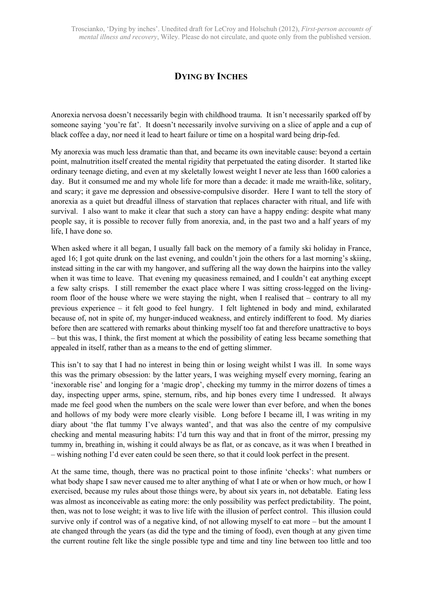## **DYING BY INCHES**

Anorexia nervosa doesn't necessarily begin with childhood trauma. It isn't necessarily sparked off by someone saying 'you're fat'. It doesn't necessarily involve surviving on a slice of apple and a cup of black coffee a day, nor need it lead to heart failure or time on a hospital ward being drip-fed.

My anorexia was much less dramatic than that, and became its own inevitable cause: beyond a certain point, malnutrition itself created the mental rigidity that perpetuated the eating disorder. It started like ordinary teenage dieting, and even at my skeletally lowest weight I never ate less than 1600 calories a day. But it consumed me and my whole life for more than a decade: it made me wraith-like, solitary, and scary; it gave me depression and obsessive-compulsive disorder. Here I want to tell the story of anorexia as a quiet but dreadful illness of starvation that replaces character with ritual, and life with survival. I also want to make it clear that such a story can have a happy ending: despite what many people say, it is possible to recover fully from anorexia, and, in the past two and a half years of my life, I have done so.

When asked where it all began, I usually fall back on the memory of a family ski holiday in France, aged 16; I got quite drunk on the last evening, and couldn't join the others for a last morning's skiing, instead sitting in the car with my hangover, and suffering all the way down the hairpins into the valley when it was time to leave. That evening my queasiness remained, and I couldn't eat anything except a few salty crisps. I still remember the exact place where I was sitting cross-legged on the livingroom floor of the house where we were staying the night, when I realised that – contrary to all my previous experience – it felt good to feel hungry. I felt lightened in body and mind, exhilarated because of, not in spite of, my hunger-induced weakness, and entirely indifferent to food. My diaries before then are scattered with remarks about thinking myself too fat and therefore unattractive to boys – but this was, I think, the first moment at which the possibility of eating less became something that appealed in itself, rather than as a means to the end of getting slimmer.

This isn't to say that I had no interest in being thin or losing weight whilst I was ill. In some ways this was the primary obsession: by the latter years, I was weighing myself every morning, fearing an 'inexorable rise' and longing for a 'magic drop', checking my tummy in the mirror dozens of times a day, inspecting upper arms, spine, sternum, ribs, and hip bones every time I undressed. It always made me feel good when the numbers on the scale were lower than ever before, and when the bones and hollows of my body were more clearly visible. Long before I became ill, I was writing in my diary about 'the flat tummy I've always wanted', and that was also the centre of my compulsive checking and mental measuring habits: I'd turn this way and that in front of the mirror, pressing my tummy in, breathing in, wishing it could always be as flat, or as concave, as it was when I breathed in – wishing nothing I'd ever eaten could be seen there, so that it could look perfect in the present.

At the same time, though, there was no practical point to those infinite 'checks': what numbers or what body shape I saw never caused me to alter anything of what I ate or when or how much, or how I exercised, because my rules about those things were, by about six years in, not debatable. Eating less was almost as inconceivable as eating more: the only possibility was perfect predictability. The point, then, was not to lose weight; it was to live life with the illusion of perfect control. This illusion could survive only if control was of a negative kind, of not allowing myself to eat more – but the amount I ate changed through the years (as did the type and the timing of food), even though at any given time the current routine felt like the single possible type and time and tiny line between too little and too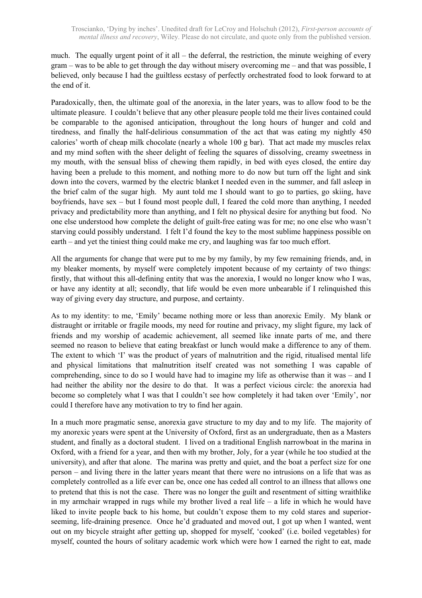much. The equally urgent point of it all – the deferral, the restriction, the minute weighing of every gram – was to be able to get through the day without misery overcoming me – and that was possible, I believed, only because I had the guiltless ecstasy of perfectly orchestrated food to look forward to at the end of it.

Paradoxically, then, the ultimate goal of the anorexia, in the later years, was to allow food to be the ultimate pleasure. I couldn't believe that any other pleasure people told me their lives contained could be comparable to the agonised anticipation, throughout the long hours of hunger and cold and tiredness, and finally the half-delirious consummation of the act that was eating my nightly 450 calories' worth of cheap milk chocolate (nearly a whole 100 g bar). That act made my muscles relax and my mind soften with the sheer delight of feeling the squares of dissolving, creamy sweetness in my mouth, with the sensual bliss of chewing them rapidly, in bed with eyes closed, the entire day having been a prelude to this moment, and nothing more to do now but turn off the light and sink down into the covers, warmed by the electric blanket I needed even in the summer, and fall asleep in the brief calm of the sugar high. My aunt told me I should want to go to parties, go skiing, have boyfriends, have sex – but I found most people dull, I feared the cold more than anything, I needed privacy and predictability more than anything, and I felt no physical desire for anything but food. No one else understood how complete the delight of guilt-free eating was for me; no one else who wasn't starving could possibly understand. I felt I'd found the key to the most sublime happiness possible on earth – and yet the tiniest thing could make me cry, and laughing was far too much effort.

All the arguments for change that were put to me by my family, by my few remaining friends, and, in my bleaker moments, by myself were completely impotent because of my certainty of two things: firstly, that without this all-defining entity that was the anorexia, I would no longer know who I was, or have any identity at all; secondly, that life would be even more unbearable if I relinquished this way of giving every day structure, and purpose, and certainty.

As to my identity: to me, 'Emily' became nothing more or less than anorexic Emily. My blank or distraught or irritable or fragile moods, my need for routine and privacy, my slight figure, my lack of friends and my worship of academic achievement, all seemed like innate parts of me, and there seemed no reason to believe that eating breakfast or lunch would make a difference to any of them. The extent to which 'I' was the product of years of malnutrition and the rigid, ritualised mental life and physical limitations that malnutrition itself created was not something I was capable of comprehending, since to do so I would have had to imagine my life as otherwise than it was – and I had neither the ability nor the desire to do that. It was a perfect vicious circle: the anorexia had become so completely what I was that I couldn't see how completely it had taken over 'Emily', nor could I therefore have any motivation to try to find her again.

In a much more pragmatic sense, anorexia gave structure to my day and to my life. The majority of my anorexic years were spent at the University of Oxford, first as an undergraduate, then as a Masters student, and finally as a doctoral student. I lived on a traditional English narrowboat in the marina in Oxford, with a friend for a year, and then with my brother, Joly, for a year (while he too studied at the university), and after that alone. The marina was pretty and quiet, and the boat a perfect size for one person – and living there in the latter years meant that there were no intrusions on a life that was as completely controlled as a life ever can be, once one has ceded all control to an illness that allows one to pretend that this is not the case. There was no longer the guilt and resentment of sitting wraithlike in my armchair wrapped in rugs while my brother lived a real life – a life in which he would have liked to invite people back to his home, but couldn't expose them to my cold stares and superiorseeming, life-draining presence. Once he'd graduated and moved out, I got up when I wanted, went out on my bicycle straight after getting up, shopped for myself, 'cooked' (i.e. boiled vegetables) for myself, counted the hours of solitary academic work which were how I earned the right to eat, made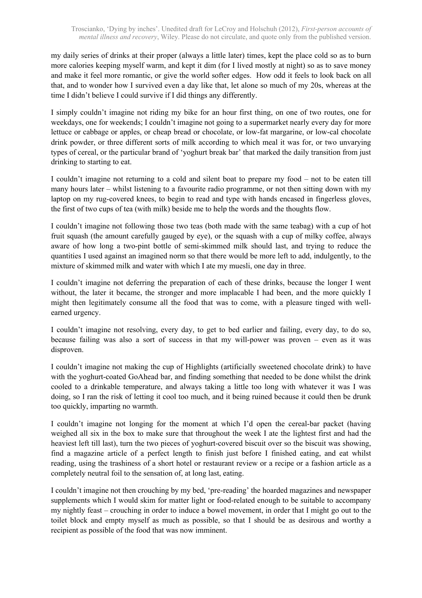my daily series of drinks at their proper (always a little later) times, kept the place cold so as to burn more calories keeping myself warm, and kept it dim (for I lived mostly at night) so as to save money and make it feel more romantic, or give the world softer edges. How odd it feels to look back on all that, and to wonder how I survived even a day like that, let alone so much of my 20s, whereas at the time I didn't believe I could survive if I did things any differently.

I simply couldn't imagine not riding my bike for an hour first thing, on one of two routes, one for weekdays, one for weekends; I couldn't imagine not going to a supermarket nearly every day for more lettuce or cabbage or apples, or cheap bread or chocolate, or low-fat margarine, or low-cal chocolate drink powder, or three different sorts of milk according to which meal it was for, or two unvarying types of cereal, or the particular brand of 'yoghurt break bar' that marked the daily transition from just drinking to starting to eat.

I couldn't imagine not returning to a cold and silent boat to prepare my food – not to be eaten till many hours later – whilst listening to a favourite radio programme, or not then sitting down with my laptop on my rug-covered knees, to begin to read and type with hands encased in fingerless gloves, the first of two cups of tea (with milk) beside me to help the words and the thoughts flow.

I couldn't imagine not following those two teas (both made with the same teabag) with a cup of hot fruit squash (the amount carefully gauged by eye), or the squash with a cup of milky coffee, always aware of how long a two-pint bottle of semi-skimmed milk should last, and trying to reduce the quantities I used against an imagined norm so that there would be more left to add, indulgently, to the mixture of skimmed milk and water with which I ate my muesli, one day in three.

I couldn't imagine not deferring the preparation of each of these drinks, because the longer I went without, the later it became, the stronger and more implacable I had been, and the more quickly I might then legitimately consume all the food that was to come, with a pleasure tinged with wellearned urgency.

I couldn't imagine not resolving, every day, to get to bed earlier and failing, every day, to do so, because failing was also a sort of success in that my will-power was proven – even as it was disproven.

I couldn't imagine not making the cup of Highlights (artificially sweetened chocolate drink) to have with the yoghurt-coated GoAhead bar, and finding something that needed to be done whilst the drink cooled to a drinkable temperature, and always taking a little too long with whatever it was I was doing, so I ran the risk of letting it cool too much, and it being ruined because it could then be drunk too quickly, imparting no warmth.

I couldn't imagine not longing for the moment at which I'd open the cereal-bar packet (having weighed all six in the box to make sure that throughout the week I ate the lightest first and had the heaviest left till last), turn the two pieces of yoghurt-covered biscuit over so the biscuit was showing, find a magazine article of a perfect length to finish just before I finished eating, and eat whilst reading, using the trashiness of a short hotel or restaurant review or a recipe or a fashion article as a completely neutral foil to the sensation of, at long last, eating.

I couldn't imagine not then crouching by my bed, 'pre-reading' the hoarded magazines and newspaper supplements which I would skim for matter light or food-related enough to be suitable to accompany my nightly feast – crouching in order to induce a bowel movement, in order that I might go out to the toilet block and empty myself as much as possible, so that I should be as desirous and worthy a recipient as possible of the food that was now imminent.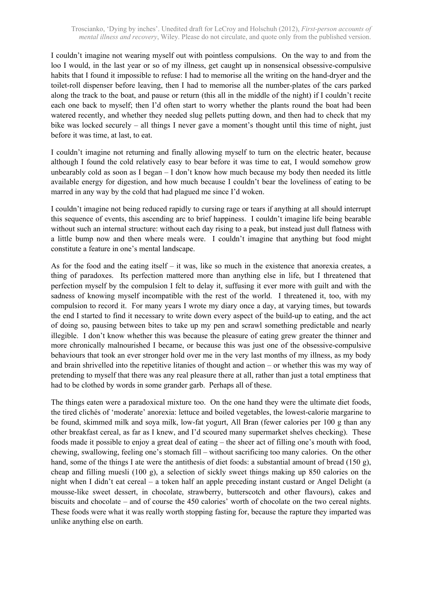I couldn't imagine not wearing myself out with pointless compulsions. On the way to and from the loo I would, in the last year or so of my illness, get caught up in nonsensical obsessive-compulsive habits that I found it impossible to refuse: I had to memorise all the writing on the hand-dryer and the toilet-roll dispenser before leaving, then I had to memorise all the number-plates of the cars parked along the track to the boat, and pause or return (this all in the middle of the night) if I couldn't recite each one back to myself; then I'd often start to worry whether the plants round the boat had been watered recently, and whether they needed slug pellets putting down, and then had to check that my bike was locked securely – all things I never gave a moment's thought until this time of night, just before it was time, at last, to eat.

I couldn't imagine not returning and finally allowing myself to turn on the electric heater, because although I found the cold relatively easy to bear before it was time to eat, I would somehow grow unbearably cold as soon as I began  $-1$  don't know how much because my body then needed its little available energy for digestion, and how much because I couldn't bear the loveliness of eating to be marred in any way by the cold that had plagued me since I'd woken.

I couldn't imagine not being reduced rapidly to cursing rage or tears if anything at all should interrupt this sequence of events, this ascending arc to brief happiness. I couldn't imagine life being bearable without such an internal structure: without each day rising to a peak, but instead just dull flatness with a little bump now and then where meals were. I couldn't imagine that anything but food might constitute a feature in one's mental landscape.

As for the food and the eating itself – it was, like so much in the existence that anorexia creates, a thing of paradoxes. Its perfection mattered more than anything else in life, but I threatened that perfection myself by the compulsion I felt to delay it, suffusing it ever more with guilt and with the sadness of knowing myself incompatible with the rest of the world. I threatened it, too, with my compulsion to record it. For many years I wrote my diary once a day, at varying times, but towards the end I started to find it necessary to write down every aspect of the build-up to eating, and the act of doing so, pausing between bites to take up my pen and scrawl something predictable and nearly illegible. I don't know whether this was because the pleasure of eating grew greater the thinner and more chronically malnourished I became, or because this was just one of the obsessive-compulsive behaviours that took an ever stronger hold over me in the very last months of my illness, as my body and brain shrivelled into the repetitive litanies of thought and action – or whether this was my way of pretending to myself that there was any real pleasure there at all, rather than just a total emptiness that had to be clothed by words in some grander garb. Perhaps all of these.

The things eaten were a paradoxical mixture too. On the one hand they were the ultimate diet foods, the tired clichés of 'moderate' anorexia: lettuce and boiled vegetables, the lowest-calorie margarine to be found, skimmed milk and soya milk, low-fat yogurt, All Bran (fewer calories per 100 g than any other breakfast cereal, as far as I knew, and I'd scoured many supermarket shelves checking). These foods made it possible to enjoy a great deal of eating – the sheer act of filling one's mouth with food, chewing, swallowing, feeling one's stomach fill – without sacrificing too many calories. On the other hand, some of the things I ate were the antithesis of diet foods: a substantial amount of bread (150 g), cheap and filling muesli (100 g), a selection of sickly sweet things making up 850 calories on the night when I didn't eat cereal – a token half an apple preceding instant custard or Angel Delight (a mousse-like sweet dessert, in chocolate, strawberry, butterscotch and other flavours), cakes and biscuits and chocolate – and of course the 450 calories' worth of chocolate on the two cereal nights. These foods were what it was really worth stopping fasting for, because the rapture they imparted was unlike anything else on earth.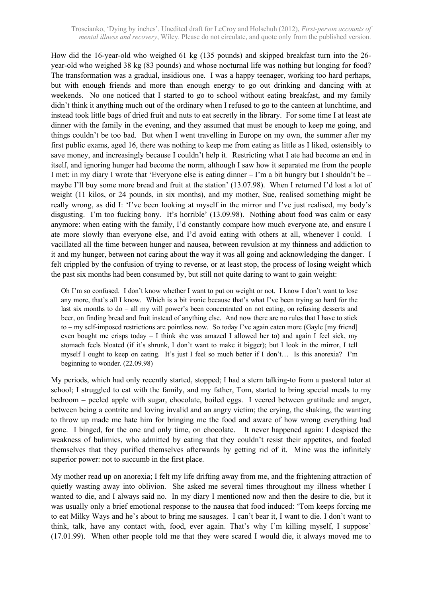How did the 16-year-old who weighed 61 kg (135 pounds) and skipped breakfast turn into the 26 year-old who weighed 38 kg (83 pounds) and whose nocturnal life was nothing but longing for food? The transformation was a gradual, insidious one. I was a happy teenager, working too hard perhaps, but with enough friends and more than enough energy to go out drinking and dancing with at weekends. No one noticed that I started to go to school without eating breakfast, and my family didn't think it anything much out of the ordinary when I refused to go to the canteen at lunchtime, and instead took little bags of dried fruit and nuts to eat secretly in the library. For some time I at least ate dinner with the family in the evening, and they assumed that must be enough to keep me going, and things couldn't be too bad. But when I went travelling in Europe on my own, the summer after my first public exams, aged 16, there was nothing to keep me from eating as little as I liked, ostensibly to save money, and increasingly because I couldn't help it. Restricting what I ate had become an end in itself, and ignoring hunger had become the norm, although I saw how it separated me from the people I met: in my diary I wrote that 'Everyone else is eating dinner – I'm a bit hungry but I shouldn't be – maybe I'll buy some more bread and fruit at the station' (13.07.98). When I returned I'd lost a lot of weight (11 kilos, or 24 pounds, in six months), and my mother, Sue, realised something might be really wrong, as did I: 'I've been looking at myself in the mirror and I've just realised, my body's disgusting. I'm too fucking bony. It's horrible' (13.09.98). Nothing about food was calm or easy anymore: when eating with the family, I'd constantly compare how much everyone ate, and ensure I ate more slowly than everyone else, and I'd avoid eating with others at all, whenever I could. I vacillated all the time between hunger and nausea, between revulsion at my thinness and addiction to it and my hunger, between not caring about the way it was all going and acknowledging the danger. I felt crippled by the confusion of trying to reverse, or at least stop, the process of losing weight which the past six months had been consumed by, but still not quite daring to want to gain weight:

Oh I'm so confused. I don't know whether I want to put on weight or not. I know I don't want to lose any more, that's all I know. Which is a bit ironic because that's what I've been trying so hard for the last six months to do – all my will power's been concentrated on not eating, on refusing desserts and beer, on finding bread and fruit instead of anything else. And now there are no rules that I have to stick to – my self-imposed restrictions are pointless now. So today I've again eaten more (Gayle [my friend] even bought me crisps today – I think she was amazed I allowed her to) and again I feel sick, my stomach feels bloated (if it's shrunk, I don't want to make it bigger); but I look in the mirror, I tell myself I ought to keep on eating. It's just I feel so much better if I don't… Is this anorexia? I'm beginning to wonder. (22.09.98)

My periods, which had only recently started, stopped; I had a stern talking-to from a pastoral tutor at school; I struggled to eat with the family, and my father, Tom, started to bring special meals to my bedroom – peeled apple with sugar, chocolate, boiled eggs. I veered between gratitude and anger, between being a contrite and loving invalid and an angry victim; the crying, the shaking, the wanting to throw up made me hate him for bringing me the food and aware of how wrong everything had gone. I binged, for the one and only time, on chocolate. It never happened again: I despised the weakness of bulimics, who admitted by eating that they couldn't resist their appetites, and fooled themselves that they purified themselves afterwards by getting rid of it. Mine was the infinitely superior power: not to succumb in the first place.

My mother read up on anorexia; I felt my life drifting away from me, and the frightening attraction of quietly wasting away into oblivion. She asked me several times throughout my illness whether I wanted to die, and I always said no. In my diary I mentioned now and then the desire to die, but it was usually only a brief emotional response to the nausea that food induced: 'Tom keeps forcing me to eat Milky Ways and he's about to bring me sausages. I can't bear it, I want to die. I don't want to think, talk, have any contact with, food, ever again. That's why I'm killing myself, I suppose' (17.01.99). When other people told me that they were scared I would die, it always moved me to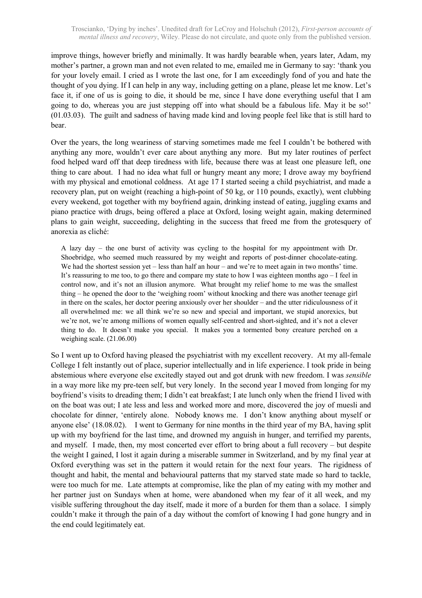improve things, however briefly and minimally. It was hardly bearable when, years later, Adam, my mother's partner, a grown man and not even related to me, emailed me in Germany to say: 'thank you for your lovely email. I cried as I wrote the last one, for I am exceedingly fond of you and hate the thought of you dying. If I can help in any way, including getting on a plane, please let me know. Let's face it, if one of us is going to die, it should be me, since I have done everything useful that I am going to do, whereas you are just stepping off into what should be a fabulous life. May it be so!' (01.03.03). The guilt and sadness of having made kind and loving people feel like that is still hard to bear.

Over the years, the long weariness of starving sometimes made me feel I couldn't be bothered with anything any more, wouldn't ever care about anything any more. But my later routines of perfect food helped ward off that deep tiredness with life, because there was at least one pleasure left, one thing to care about. I had no idea what full or hungry meant any more; I drove away my boyfriend with my physical and emotional coldness. At age 17 I started seeing a child psychiatrist, and made a recovery plan, put on weight (reaching a high-point of 50 kg, or 110 pounds, exactly), went clubbing every weekend, got together with my boyfriend again, drinking instead of eating, juggling exams and piano practice with drugs, being offered a place at Oxford, losing weight again, making determined plans to gain weight, succeeding, delighting in the success that freed me from the grotesquery of anorexia as cliché:

A lazy day – the one burst of activity was cycling to the hospital for my appointment with Dr. Shoebridge, who seemed much reassured by my weight and reports of post-dinner chocolate-eating. We had the shortest session yet – less than half an hour – and we're to meet again in two months' time. It's reassuring to me too, to go there and compare my state to how I was eighteen months ago – I feel in control now, and it's not an illusion anymore. What brought my relief home to me was the smallest thing – he opened the door to the 'weighing room' without knocking and there was another teenage girl in there on the scales, her doctor peering anxiously over her shoulder – and the utter ridiculousness of it all overwhelmed me: we all think we're so new and special and important, we stupid anorexics, but we're not, we're among millions of women equally self-centred and short-sighted, and it's not a clever thing to do. It doesn't make you special. It makes you a tormented bony creature perched on a weighing scale. (21.06.00)

So I went up to Oxford having pleased the psychiatrist with my excellent recovery. At my all-female College I felt instantly out of place, superior intellectually and in life experience. I took pride in being abstemious where everyone else excitedly stayed out and got drunk with new freedom. I was *sensible* in a way more like my pre-teen self, but very lonely. In the second year I moved from longing for my boyfriend's visits to dreading them; I didn't eat breakfast; I ate lunch only when the friend I lived with on the boat was out; I ate less and less and worked more and more, discovered the joy of muesli and chocolate for dinner, 'entirely alone. Nobody knows me. I don't know anything about myself or anyone else' (18.08.02). I went to Germany for nine months in the third year of my BA, having split up with my boyfriend for the last time, and drowned my anguish in hunger, and terrified my parents, and myself. I made, then, my most concerted ever effort to bring about a full recovery – but despite the weight I gained, I lost it again during a miserable summer in Switzerland, and by my final year at Oxford everything was set in the pattern it would retain for the next four years. The rigidness of thought and habit, the mental and behavioural patterns that my starved state made so hard to tackle, were too much for me. Late attempts at compromise, like the plan of my eating with my mother and her partner just on Sundays when at home, were abandoned when my fear of it all week, and my visible suffering throughout the day itself, made it more of a burden for them than a solace. I simply couldn't make it through the pain of a day without the comfort of knowing I had gone hungry and in the end could legitimately eat.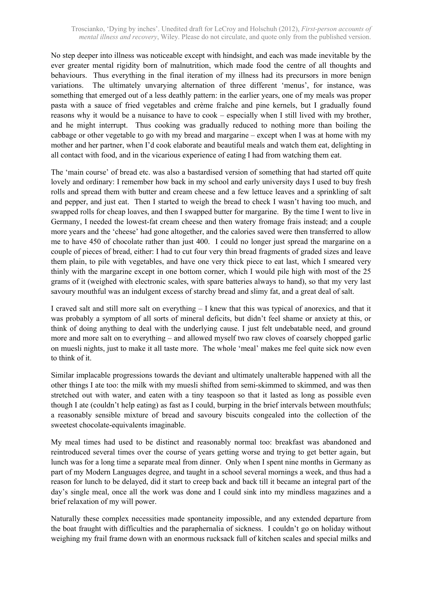No step deeper into illness was noticeable except with hindsight, and each was made inevitable by the ever greater mental rigidity born of malnutrition, which made food the centre of all thoughts and behaviours. Thus everything in the final iteration of my illness had its precursors in more benign variations. The ultimately unvarying alternation of three different 'menus', for instance, was something that emerged out of a less deathly pattern: in the earlier years, one of my meals was proper pasta with a sauce of fried vegetables and crème fraîche and pine kernels, but I gradually found reasons why it would be a nuisance to have to cook – especially when I still lived with my brother, and he might interrupt. Thus cooking was gradually reduced to nothing more than boiling the cabbage or other vegetable to go with my bread and margarine – except when I was at home with my mother and her partner, when I'd cook elaborate and beautiful meals and watch them eat, delighting in all contact with food, and in the vicarious experience of eating I had from watching them eat.

The 'main course' of bread etc. was also a bastardised version of something that had started off quite lovely and ordinary: I remember how back in my school and early university days I used to buy fresh rolls and spread them with butter and cream cheese and a few lettuce leaves and a sprinkling of salt and pepper, and just eat. Then I started to weigh the bread to check I wasn't having too much, and swapped rolls for cheap loaves, and then I swapped butter for margarine. By the time I went to live in Germany, I needed the lowest-fat cream cheese and then watery fromage frais instead; and a couple more years and the 'cheese' had gone altogether, and the calories saved were then transferred to allow me to have 450 of chocolate rather than just 400. I could no longer just spread the margarine on a couple of pieces of bread, either: I had to cut four very thin bread fragments of graded sizes and leave them plain, to pile with vegetables, and have one very thick piece to eat last, which I smeared very thinly with the margarine except in one bottom corner, which I would pile high with most of the 25 grams of it (weighed with electronic scales, with spare batteries always to hand), so that my very last savoury mouthful was an indulgent excess of starchy bread and slimy fat, and a great deal of salt.

I craved salt and still more salt on everything – I knew that this was typical of anorexics, and that it was probably a symptom of all sorts of mineral deficits, but didn't feel shame or anxiety at this, or think of doing anything to deal with the underlying cause. I just felt undebatable need, and ground more and more salt on to everything – and allowed myself two raw cloves of coarsely chopped garlic on muesli nights, just to make it all taste more. The whole 'meal' makes me feel quite sick now even to think of it.

Similar implacable progressions towards the deviant and ultimately unalterable happened with all the other things I ate too: the milk with my muesli shifted from semi-skimmed to skimmed, and was then stretched out with water, and eaten with a tiny teaspoon so that it lasted as long as possible even though I ate (couldn't help eating) as fast as I could, burping in the brief intervals between mouthfuls; a reasonably sensible mixture of bread and savoury biscuits congealed into the collection of the sweetest chocolate-equivalents imaginable.

My meal times had used to be distinct and reasonably normal too: breakfast was abandoned and reintroduced several times over the course of years getting worse and trying to get better again, but lunch was for a long time a separate meal from dinner. Only when I spent nine months in Germany as part of my Modern Languages degree, and taught in a school several mornings a week, and thus had a reason for lunch to be delayed, did it start to creep back and back till it became an integral part of the day's single meal, once all the work was done and I could sink into my mindless magazines and a brief relaxation of my will power.

Naturally these complex necessities made spontaneity impossible, and any extended departure from the boat fraught with difficulties and the paraphernalia of sickness. I couldn't go on holiday without weighing my frail frame down with an enormous rucksack full of kitchen scales and special milks and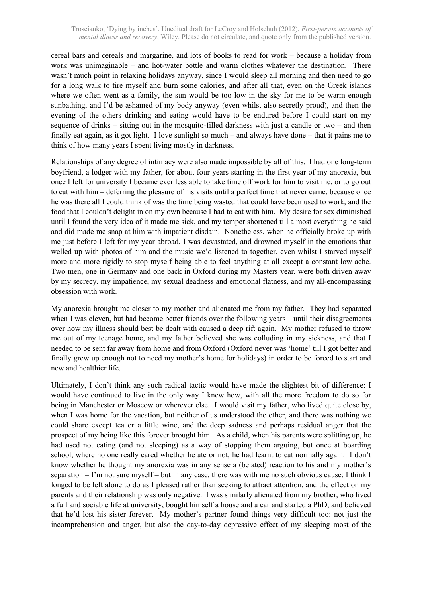cereal bars and cereals and margarine, and lots of books to read for work – because a holiday from work was unimaginable – and hot-water bottle and warm clothes whatever the destination. There wasn't much point in relaxing holidays anyway, since I would sleep all morning and then need to go for a long walk to tire myself and burn some calories, and after all that, even on the Greek islands where we often went as a family, the sun would be too low in the sky for me to be warm enough sunbathing, and I'd be ashamed of my body anyway (even whilst also secretly proud), and then the evening of the others drinking and eating would have to be endured before I could start on my sequence of drinks – sitting out in the mosquito-filled darkness with just a candle or two – and then finally eat again, as it got light. I love sunlight so much – and always have done – that it pains me to think of how many years I spent living mostly in darkness.

Relationships of any degree of intimacy were also made impossible by all of this. I had one long-term boyfriend, a lodger with my father, for about four years starting in the first year of my anorexia, but once I left for university I became ever less able to take time off work for him to visit me, or to go out to eat with him – deferring the pleasure of his visits until a perfect time that never came, because once he was there all I could think of was the time being wasted that could have been used to work, and the food that I couldn't delight in on my own because I had to eat with him. My desire for sex diminished until I found the very idea of it made me sick, and my temper shortened till almost everything he said and did made me snap at him with impatient disdain. Nonetheless, when he officially broke up with me just before I left for my year abroad, I was devastated, and drowned myself in the emotions that welled up with photos of him and the music we'd listened to together, even whilst I starved myself more and more rigidly to stop myself being able to feel anything at all except a constant low ache. Two men, one in Germany and one back in Oxford during my Masters year, were both driven away by my secrecy, my impatience, my sexual deadness and emotional flatness, and my all-encompassing obsession with work.

My anorexia brought me closer to my mother and alienated me from my father. They had separated when I was eleven, but had become better friends over the following years – until their disagreements over how my illness should best be dealt with caused a deep rift again. My mother refused to throw me out of my teenage home, and my father believed she was colluding in my sickness, and that I needed to be sent far away from home and from Oxford (Oxford never was 'home' till I got better and finally grew up enough not to need my mother's home for holidays) in order to be forced to start and new and healthier life.

Ultimately, I don't think any such radical tactic would have made the slightest bit of difference: I would have continued to live in the only way I knew how, with all the more freedom to do so for being in Manchester or Moscow or wherever else. I would visit my father, who lived quite close by, when I was home for the vacation, but neither of us understood the other, and there was nothing we could share except tea or a little wine, and the deep sadness and perhaps residual anger that the prospect of my being like this forever brought him. As a child, when his parents were splitting up, he had used not eating (and not sleeping) as a way of stopping them arguing, but once at boarding school, where no one really cared whether he ate or not, he had learnt to eat normally again. I don't know whether he thought my anorexia was in any sense a (belated) reaction to his and my mother's separation – I'm not sure myself – but in any case, there was with me no such obvious cause: I think I longed to be left alone to do as I pleased rather than seeking to attract attention, and the effect on my parents and their relationship was only negative. I was similarly alienated from my brother, who lived a full and sociable life at university, bought himself a house and a car and started a PhD, and believed that he'd lost his sister forever. My mother's partner found things very difficult too: not just the incomprehension and anger, but also the day-to-day depressive effect of my sleeping most of the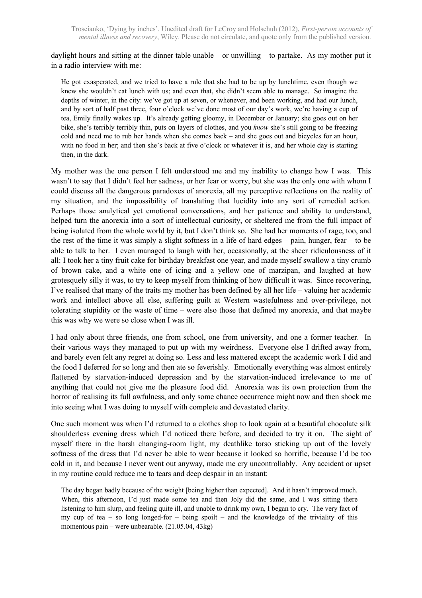daylight hours and sitting at the dinner table unable – or unwilling – to partake. As my mother put it in a radio interview with me:

He got exasperated, and we tried to have a rule that she had to be up by lunchtime, even though we knew she wouldn't eat lunch with us; and even that, she didn't seem able to manage. So imagine the depths of winter, in the city: we've got up at seven, or whenever, and been working, and had our lunch, and by sort of half past three, four o'clock we've done most of our day's work, we're having a cup of tea, Emily finally wakes up. It's already getting gloomy, in December or January; she goes out on her bike, she's terribly terribly thin, puts on layers of clothes, and you *know* she's still going to be freezing cold and need me to rub her hands when she comes back – and she goes out and bicycles for an hour, with no food in her; and then she's back at five o'clock or whatever it is, and her whole day is starting then, in the dark.

My mother was the one person I felt understood me and my inability to change how I was. This wasn't to say that I didn't feel her sadness, or her fear or worry, but she was the only one with whom I could discuss all the dangerous paradoxes of anorexia, all my perceptive reflections on the reality of my situation, and the impossibility of translating that lucidity into any sort of remedial action. Perhaps those analytical yet emotional conversations, and her patience and ability to understand, helped turn the anorexia into a sort of intellectual curiosity, or sheltered me from the full impact of being isolated from the whole world by it, but I don't think so. She had her moments of rage, too, and the rest of the time it was simply a slight softness in a life of hard edges – pain, hunger, fear – to be able to talk to her. I even managed to laugh with her, occasionally, at the sheer ridiculousness of it all: I took her a tiny fruit cake for birthday breakfast one year, and made myself swallow a tiny crumb of brown cake, and a white one of icing and a yellow one of marzipan, and laughed at how grotesquely silly it was, to try to keep myself from thinking of how difficult it was. Since recovering, I've realised that many of the traits my mother has been defined by all her life – valuing her academic work and intellect above all else, suffering guilt at Western wastefulness and over-privilege, not tolerating stupidity or the waste of time – were also those that defined my anorexia, and that maybe this was why we were so close when I was ill.

I had only about three friends, one from school, one from university, and one a former teacher. In their various ways they managed to put up with my weirdness. Everyone else I drifted away from, and barely even felt any regret at doing so. Less and less mattered except the academic work I did and the food I deferred for so long and then ate so feverishly. Emotionally everything was almost entirely flattened by starvation-induced depression and by the starvation-induced irrelevance to me of anything that could not give me the pleasure food did. Anorexia was its own protection from the horror of realising its full awfulness, and only some chance occurrence might now and then shock me into seeing what I was doing to myself with complete and devastated clarity.

One such moment was when I'd returned to a clothes shop to look again at a beautiful chocolate silk shoulderless evening dress which I'd noticed there before, and decided to try it on. The sight of myself there in the harsh changing-room light, my deathlike torso sticking up out of the lovely softness of the dress that I'd never be able to wear because it looked so horrific, because I'd be too cold in it, and because I never went out anyway, made me cry uncontrollably. Any accident or upset in my routine could reduce me to tears and deep despair in an instant:

The day began badly because of the weight [being higher than expected]. And it hasn't improved much. When, this afternoon, I'd just made some tea and then Joly did the same, and I was sitting there listening to him slurp, and feeling quite ill, and unable to drink my own, I began to cry. The very fact of my cup of tea – so long longed-for – being spoilt – and the knowledge of the triviality of this momentous pain – were unbearable. (21.05.04, 43kg)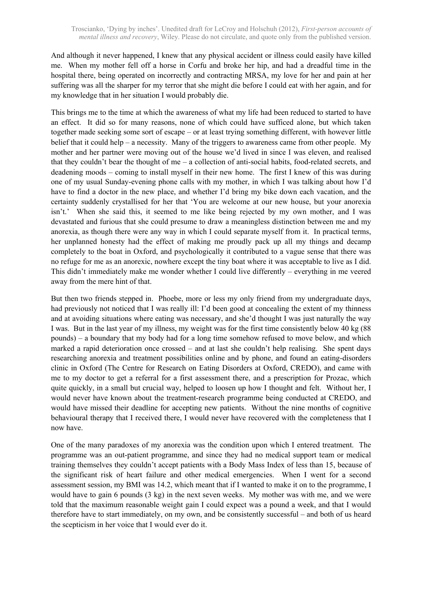And although it never happened, I knew that any physical accident or illness could easily have killed me. When my mother fell off a horse in Corfu and broke her hip, and had a dreadful time in the hospital there, being operated on incorrectly and contracting MRSA, my love for her and pain at her suffering was all the sharper for my terror that she might die before I could eat with her again, and for my knowledge that in her situation I would probably die.

This brings me to the time at which the awareness of what my life had been reduced to started to have an effect. It did so for many reasons, none of which could have sufficed alone, but which taken together made seeking some sort of escape – or at least trying something different, with however little belief that it could help – a necessity. Many of the triggers to awareness came from other people. My mother and her partner were moving out of the house we'd lived in since I was eleven, and realised that they couldn't bear the thought of me – a collection of anti-social habits, food-related secrets, and deadening moods – coming to install myself in their new home. The first I knew of this was during one of my usual Sunday-evening phone calls with my mother, in which I was talking about how I'd have to find a doctor in the new place, and whether I'd bring my bike down each vacation, and the certainty suddenly crystallised for her that 'You are welcome at our new house, but your anorexia isn't.' When she said this, it seemed to me like being rejected by my own mother, and I was devastated and furious that she could presume to draw a meaningless distinction between me and my anorexia, as though there were any way in which I could separate myself from it. In practical terms, her unplanned honesty had the effect of making me proudly pack up all my things and decamp completely to the boat in Oxford, and psychologically it contributed to a vague sense that there was no refuge for me as an anorexic, nowhere except the tiny boat where it was acceptable to live as I did. This didn't immediately make me wonder whether I could live differently – everything in me veered away from the mere hint of that.

But then two friends stepped in. Phoebe, more or less my only friend from my undergraduate days, had previously not noticed that I was really ill: I'd been good at concealing the extent of my thinness and at avoiding situations where eating was necessary, and she'd thought I was just naturally the way I was. But in the last year of my illness, my weight was for the first time consistently below 40 kg (88 pounds) – a boundary that my body had for a long time somehow refused to move below, and which marked a rapid deterioration once crossed – and at last she couldn't help realising. She spent days researching anorexia and treatment possibilities online and by phone, and found an eating-disorders clinic in Oxford (The Centre for Research on Eating Disorders at Oxford, CREDO), and came with me to my doctor to get a referral for a first assessment there, and a prescription for Prozac, which quite quickly, in a small but crucial way, helped to loosen up how I thought and felt. Without her, I would never have known about the treatment-research programme being conducted at CREDO, and would have missed their deadline for accepting new patients. Without the nine months of cognitive behavioural therapy that I received there, I would never have recovered with the completeness that I now have.

One of the many paradoxes of my anorexia was the condition upon which I entered treatment. The programme was an out-patient programme, and since they had no medical support team or medical training themselves they couldn't accept patients with a Body Mass Index of less than 15, because of the significant risk of heart failure and other medical emergencies. When I went for a second assessment session, my BMI was 14.2, which meant that if I wanted to make it on to the programme, I would have to gain 6 pounds (3 kg) in the next seven weeks. My mother was with me, and we were told that the maximum reasonable weight gain I could expect was a pound a week, and that I would therefore have to start immediately, on my own, and be consistently successful – and both of us heard the scepticism in her voice that I would ever do it.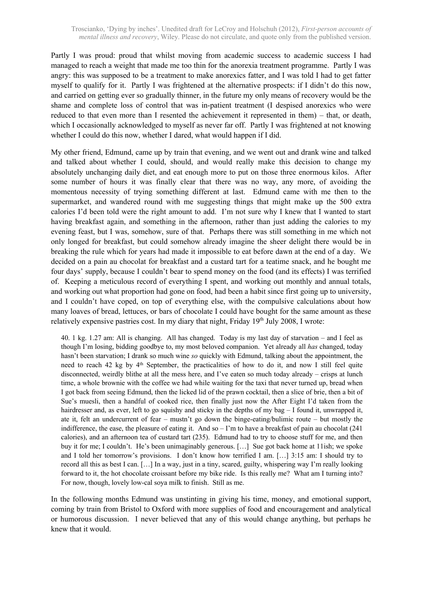Partly I was proud: proud that whilst moving from academic success to academic success I had managed to reach a weight that made me too thin for the anorexia treatment programme. Partly I was angry: this was supposed to be a treatment to make anorexics fatter, and I was told I had to get fatter myself to qualify for it. Partly I was frightened at the alternative prospects: if I didn't do this now, and carried on getting ever so gradually thinner, in the future my only means of recovery would be the shame and complete loss of control that was in-patient treatment (I despised anorexics who were reduced to that even more than I resented the achievement it represented in them) – that, or death, which I occasionally acknowledged to myself as never far off. Partly I was frightened at not knowing whether I could do this now, whether I dared, what would happen if I did.

My other friend, Edmund, came up by train that evening, and we went out and drank wine and talked and talked about whether I could, should, and would really make this decision to change my absolutely unchanging daily diet, and eat enough more to put on those three enormous kilos. After some number of hours it was finally clear that there was no way, any more, of avoiding the momentous necessity of trying something different at last. Edmund came with me then to the supermarket, and wandered round with me suggesting things that might make up the 500 extra calories I'd been told were the right amount to add. I'm not sure why I knew that I wanted to start having breakfast again, and something in the afternoon, rather than just adding the calories to my evening feast, but I was, somehow, sure of that. Perhaps there was still something in me which not only longed for breakfast, but could somehow already imagine the sheer delight there would be in breaking the rule which for years had made it impossible to eat before dawn at the end of a day. We decided on a pain au chocolat for breakfast and a custard tart for a teatime snack, and he bought me four days' supply, because I couldn't bear to spend money on the food (and its effects) I was terrified of. Keeping a meticulous record of everything I spent, and working out monthly and annual totals, and working out what proportion had gone on food, had been a habit since first going up to university, and I couldn't have coped, on top of everything else, with the compulsive calculations about how many loaves of bread, lettuces, or bars of chocolate I could have bought for the same amount as these relatively expensive pastries cost. In my diary that night, Friday  $19<sup>th</sup>$  July 2008, I wrote:

40. 1 kg. 1.27 am: All is changing. All has changed. Today is my last day of starvation – and I feel as though I'm losing, bidding goodbye to, my most beloved companion. Yet already all *has* changed, today hasn't been starvation; I drank so much wine *so* quickly with Edmund, talking about the appointment, the need to reach 42 kg by 4<sup>th</sup> September, the practicalities of how to do it, and now I still feel quite disconnected, weirdly blithe at all the mess here, and I've eaten so much today already – crisps at lunch time, a whole brownie with the coffee we had while waiting for the taxi that never turned up, bread when I got back from seeing Edmund, then the licked lid of the prawn cocktail, then a slice of brie, then a bit of Sue's muesli, then a handful of cooked rice, then finally just now the After Eight I'd taken from the hairdresser and, as ever, left to go squishy and sticky in the depths of my bag – I found it, unwrapped it, ate it, felt an undercurrent of fear – mustn't go down the binge-eating/bulimic route – but mostly the indifference, the ease, the pleasure of eating it. And so – I'm to have a breakfast of pain au chocolat (241 calories), and an afternoon tea of custard tart (235). Edmund had to try to choose stuff for me, and then buy it for me; I couldn't. He's been unimaginably generous. […] Sue got back home at 11ish; we spoke and I told her tomorrow's provisions. I don't know how terrified I am. […] 3:15 am: I should try to record all this as best I can. […] In a way, just in a tiny, scared, guilty, whispering way I'm really looking forward to it, the hot chocolate croissant before my bike ride. Is this really me? What am I turning into? For now, though, lovely low-cal soya milk to finish. Still as me.

In the following months Edmund was unstinting in giving his time, money, and emotional support, coming by train from Bristol to Oxford with more supplies of food and encouragement and analytical or humorous discussion. I never believed that any of this would change anything, but perhaps he knew that it would.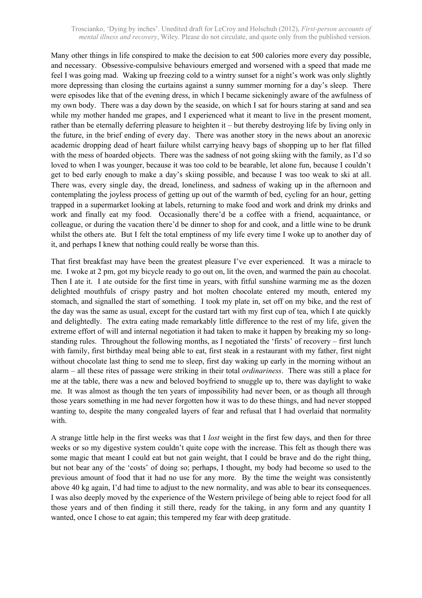Many other things in life conspired to make the decision to eat 500 calories more every day possible, and necessary. Obsessive-compulsive behaviours emerged and worsened with a speed that made me feel I was going mad. Waking up freezing cold to a wintry sunset for a night's work was only slightly more depressing than closing the curtains against a sunny summer morning for a day's sleep. There were episodes like that of the evening dress, in which I became sickeningly aware of the awfulness of my own body. There was a day down by the seaside, on which I sat for hours staring at sand and sea while my mother handed me grapes, and I experienced what it meant to live in the present moment, rather than be eternally deferring pleasure to heighten it – but thereby destroying life by living only in the future, in the brief ending of every day. There was another story in the news about an anorexic academic dropping dead of heart failure whilst carrying heavy bags of shopping up to her flat filled with the mess of hoarded objects. There was the sadness of not going skiing with the family, as I'd so loved to when I was younger, because it was too cold to be bearable, let alone fun, because I couldn't get to bed early enough to make a day's skiing possible, and because I was too weak to ski at all. There was, every single day, the dread, loneliness, and sadness of waking up in the afternoon and contemplating the joyless process of getting up out of the warmth of bed, cycling for an hour, getting trapped in a supermarket looking at labels, returning to make food and work and drink my drinks and work and finally eat my food. Occasionally there'd be a coffee with a friend, acquaintance, or colleague, or during the vacation there'd be dinner to shop for and cook, and a little wine to be drunk whilst the others ate. But I felt the total emptiness of my life every time I woke up to another day of it, and perhaps I knew that nothing could really be worse than this.

That first breakfast may have been the greatest pleasure I've ever experienced. It was a miracle to me. I woke at 2 pm, got my bicycle ready to go out on, lit the oven, and warmed the pain au chocolat. Then I ate it. I ate outside for the first time in years, with fitful sunshine warming me as the dozen delighted mouthfuls of crispy pastry and hot molten chocolate entered my mouth, entered my stomach, and signalled the start of something. I took my plate in, set off on my bike, and the rest of the day was the same as usual, except for the custard tart with my first cup of tea, which I ate quickly and delightedly. The extra eating made remarkably little difference to the rest of my life, given the extreme effort of will and internal negotiation it had taken to make it happen by breaking my so longstanding rules. Throughout the following months, as I negotiated the 'firsts' of recovery – first lunch with family, first birthday meal being able to eat, first steak in a restaurant with my father, first night without chocolate last thing to send me to sleep, first day waking up early in the morning without an alarm – all these rites of passage were striking in their total *ordinariness*. There was still a place for me at the table, there was a new and beloved boyfriend to snuggle up to, there was daylight to wake me. It was almost as though the ten years of impossibility had never been, or as though all through those years something in me had never forgotten how it was to do these things, and had never stopped wanting to, despite the many congealed layers of fear and refusal that I had overlaid that normality with.

A strange little help in the first weeks was that I *lost* weight in the first few days, and then for three weeks or so my digestive system couldn't quite cope with the increase. This felt as though there was some magic that meant I could eat but not gain weight, that I could be brave and do the right thing, but not bear any of the 'costs' of doing so; perhaps, I thought, my body had become so used to the previous amount of food that it had no use for any more. By the time the weight was consistently above 40 kg again, I'd had time to adjust to the new normality, and was able to bear its consequences. I was also deeply moved by the experience of the Western privilege of being able to reject food for all those years and of then finding it still there, ready for the taking, in any form and any quantity I wanted, once I chose to eat again; this tempered my fear with deep gratitude.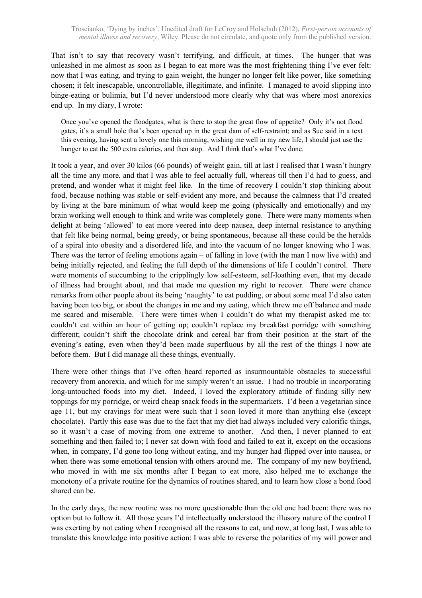That isn't to say that recovery wasn't terrifying, and difficult, at times. The hunger that was unleashed in me almost as soon as I began to eat more was the most frightening thing I've ever felt: now that I was eating, and trying to gain weight, the hunger no longer felt like power, like something chosen; it felt inescapable, uncontrollable, illegitimate, and infinite. I managed to avoid slipping into binge-eating or bulimia, but I'd never understood more clearly why that was where most anorexics end up. In my diary, I wrote:

Once you've opened the floodgates, what is there to stop the great flow of appetite? Only it's not flood gates, it's a small hole that's been opened up in the great dam of self-restraint; and as Sue said in a text this evening, having sent a lovely one this morning, wishing me well in my new life, I should just use the hunger to eat the 500 extra calories, and then stop. And I think that's what I've done.

It took a year, and over 30 kilos (66 pounds) of weight gain, till at last I realised that I wasn't hungry all the time any more, and that I was able to feel actually full, whereas till then I'd had to guess, and pretend, and wonder what it might feel like. In the time of recovery I couldn't stop thinking about food, because nothing was stable or self-evident any more, and because the calmness that I'd created by living at the bare minimum of what would keep me going (physically and emotionally) and my brain working well enough to think and write was completely gone. There were many moments when delight at being 'allowed' to eat more veered into deep nausea, deep internal resistance to anything that felt like being normal, being greedy, or being spontaneous, because all these could be the heralds of a spiral into obesity and a disordered life, and into the vacuum of no longer knowing who I was. There was the terror of feeling emotions again – of falling in love (with the man I now live with) and being initially rejected, and feeling the full depth of the dimensions of life I couldn't control. There were moments of succumbing to the cripplingly low self-esteem, self-loathing even, that my decade of illness had brought about, and that made me question my right to recover. There were chance remarks from other people about its being 'naughty' to eat pudding, or about some meal I'd also eaten having been too big, or about the changes in me and my eating, which threw me off balance and made me scared and miserable. There were times when I couldn't do what my therapist asked me to: couldn't eat within an hour of getting up; couldn't replace my breakfast porridge with something different; couldn't shift the chocolate drink and cereal bar from their position at the start of the evening's eating, even when they'd been made superfluous by all the rest of the things I now ate before them. But I did manage all these things, eventually.

There were other things that I've often heard reported as insurmountable obstacles to successful recovery from anorexia, and which for me simply weren't an issue. I had no trouble in incorporating long-untouched foods into my diet. Indeed, I loved the exploratory attitude of finding silly new toppings for my porridge, or weird cheap snack foods in the supermarkets. I'd been a vegetarian since age 11, but my cravings for meat were such that I soon loved it more than anything else (except chocolate). Partly this ease was due to the fact that my diet had always included very calorific things, so it wasn't a case of moving from one extreme to another. And then, I never planned to eat something and then failed to; I never sat down with food and failed to eat it, except on the occasions when, in company, I'd gone too long without eating, and my hunger had flipped over into nausea, or when there was some emotional tension with others around me. The company of my new boyfriend, who moved in with me six months after I began to eat more, also helped me to exchange the monotony of a private routine for the dynamics of routines shared, and to learn how close a bond food shared can be.

In the early days, the new routine was no more questionable than the old one had been: there was no option but to follow it. All those years I'd intellectually understood the illusory nature of the control I was exerting by not eating when I recognised all the reasons to eat, and now, at long last, I was able to translate this knowledge into positive action: I was able to reverse the polarities of my will power and